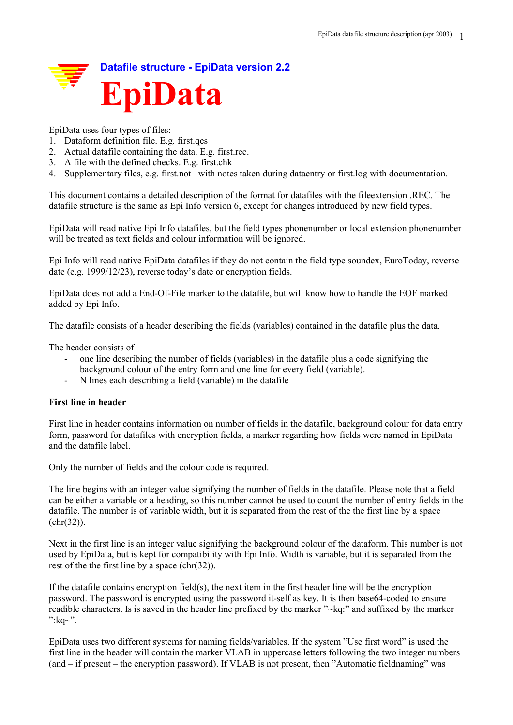

EpiData uses four types of files:

- 1. Dataform definition file. E.g. first.qes
- 2. Actual datafile containing the data. E.g. first.rec.
- 3. A file with the defined checks. E.g. first.chk
- 4. Supplementary files, e.g. first.not with notes taken during dataentry or first.log with documentation.

This document contains a detailed description of the format for datafiles with the fileextension .REC. The datafile structure is the same as Epi Info version 6, except for changes introduced by new field types.

EpiData will read native Epi Info datafiles, but the field types phonenumber or local extension phonenumber will be treated as text fields and colour information will be ignored.

Epi Info will read native EpiData datafiles if they do not contain the field type soundex, EuroToday, reverse date (e.g. 1999/12/23), reverse today's date or encryption fields.

EpiData does not add a End-Of-File marker to the datafile, but will know how to handle the EOF marked added by Epi Info.

The datafile consists of a header describing the fields (variables) contained in the datafile plus the data.

The header consists of

- one line describing the number of fields (variables) in the datafile plus a code signifying the background colour of the entry form and one line for every field (variable).
- N lines each describing a field (variable) in the datafile

# **First line in header**

First line in header contains information on number of fields in the datafile, background colour for data entry form, password for datafiles with encryption fields, a marker regarding how fields were named in EpiData and the datafile label.

Only the number of fields and the colour code is required.

The line begins with an integer value signifying the number of fields in the datafile. Please note that a field can be either a variable or a heading, so this number cannot be used to count the number of entry fields in the datafile. The number is of variable width, but it is separated from the rest of the the first line by a space (chr(32)).

Next in the first line is an integer value signifying the background colour of the dataform. This number is not used by EpiData, but is kept for compatibility with Epi Info. Width is variable, but it is separated from the rest of the the first line by a space  $(chr(32))$ .

If the datafile contains encryption field(s), the next item in the first header line will be the encryption password. The password is encrypted using the password it-self as key. It is then base64-coded to ensure readible characters. Is is saved in the header line prefixed by the marker "~kq:" and suffixed by the marker ": $kq \sim$ ".

EpiData uses two different systems for naming fields/variables. If the system "Use first word" is used the first line in the header will contain the marker VLAB in uppercase letters following the two integer numbers (and – if present – the encryption password). If VLAB is not present, then "Automatic fieldnaming" was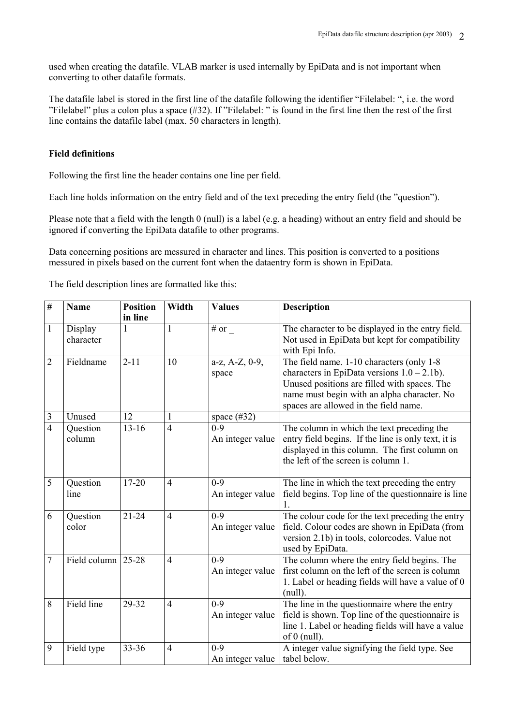used when creating the datafile. VLAB marker is used internally by EpiData and is not important when converting to other datafile formats.

The datafile label is stored in the first line of the datafile following the identifier "Filelabel: ", i.e. the word "Filelabel" plus a colon plus a space (#32). If "Filelabel: " is found in the first line then the rest of the first line contains the datafile label (max. 50 characters in length).

## **Field definitions**

Following the first line the header contains one line per field.

Each line holds information on the entry field and of the text preceding the entry field (the "question").

Please note that a field with the length 0 (null) is a label (e.g. a heading) without an entry field and should be ignored if converting the EpiData datafile to other programs.

Data concerning positions are messured in character and lines. This position is converted to a positions messured in pixels based on the current font when the dataentry form is shown in EpiData.

| $\frac{1}{2}$  | <b>Name</b>          | <b>Position</b><br>in line | Width          | <b>Values</b>                        | <b>Description</b>                                                                                                                                                                                                                  |  |  |  |  |  |
|----------------|----------------------|----------------------------|----------------|--------------------------------------|-------------------------------------------------------------------------------------------------------------------------------------------------------------------------------------------------------------------------------------|--|--|--|--|--|
| $\mathbf{1}$   | Display<br>character | 1                          | 1              | # or $_{-}$                          | The character to be displayed in the entry field.<br>Not used in EpiData but kept for compatibility<br>with Epi Info.                                                                                                               |  |  |  |  |  |
| $\overline{2}$ | Fieldname            | $2 - 11$                   | 10             | a-z, A-Z, 0-9,<br>space              | The field name. 1-10 characters (only 1-8<br>characters in EpiData versions $1.0 - 2.1$ b).<br>Unused positions are filled with spaces. The<br>name must begin with an alpha character. No<br>spaces are allowed in the field name. |  |  |  |  |  |
| 3              | Unused               | 12                         |                | space $(\#32)$                       |                                                                                                                                                                                                                                     |  |  |  |  |  |
| $\overline{4}$ | Question<br>column   | $13 - 16$                  | $\overline{4}$ | $\overline{0-9}$<br>An integer value | The column in which the text preceding the<br>entry field begins. If the line is only text, it is<br>displayed in this column. The first column on<br>the left of the screen is column 1.                                           |  |  |  |  |  |
| 5              | Question<br>line     | $17 - 20$                  | $\overline{4}$ | $0 - 9$<br>An integer value          | The line in which the text preceding the entry<br>field begins. Top line of the questionnaire is line                                                                                                                               |  |  |  |  |  |
| 6              | Question<br>color    | $21 - 24$                  | $\overline{4}$ | $0 - 9$<br>An integer value          | The colour code for the text preceding the entry<br>field. Colour codes are shown in EpiData (from<br>version 2.1b) in tools, colorcodes. Value not<br>used by EpiData.                                                             |  |  |  |  |  |
| 7              | Field column $25-28$ |                            | $\overline{4}$ | $0 - 9$<br>An integer value          | The column where the entry field begins. The<br>first column on the left of the screen is column<br>1. Label or heading fields will have a value of 0<br>$(null)$ .                                                                 |  |  |  |  |  |
| 8              | Field line           | 29-32                      | $\overline{4}$ | $0 - 9$<br>An integer value          | The line in the questionnaire where the entry<br>field is shown. Top line of the questionnaire is<br>line 1. Label or heading fields will have a value<br>of $0$ (null).                                                            |  |  |  |  |  |
| 9              | Field type           | 33-36                      | $\overline{4}$ | $0 - 9$<br>An integer value          | A integer value signifying the field type. See<br>tabel below.                                                                                                                                                                      |  |  |  |  |  |

The field description lines are formatted like this: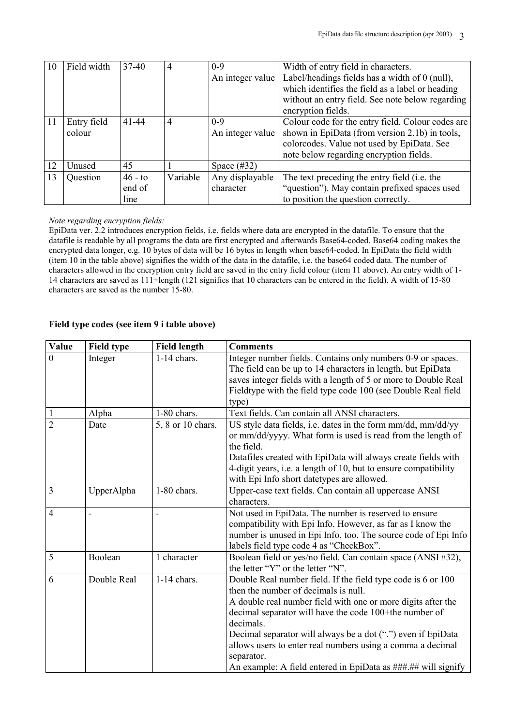| 10 | Field width | $37-40$   | 4        | $0 - 9$          | Width of entry field in characters.               |
|----|-------------|-----------|----------|------------------|---------------------------------------------------|
|    |             |           |          | An integer value | Label/headings fields has a width of 0 (null),    |
|    |             |           |          |                  | which identifies the field as a label or heading  |
|    |             |           |          |                  | without an entry field. See note below regarding  |
|    |             |           |          |                  | encryption fields.                                |
| 11 | Entry field | $41 - 44$ | 4        | $0 - 9$          | Colour code for the entry field. Colour codes are |
|    | colour      |           |          | An integer value | shown in EpiData (from version 2.1b) in tools,    |
|    |             |           |          |                  | colorcodes. Value not used by EpiData. See        |
|    |             |           |          |                  | note below regarding encryption fields.           |
| 12 | Unused      | 45        |          | Space $(\#32)$   |                                                   |
| 13 | Question    | $46 - to$ | Variable | Any displayable  | The text preceding the entry field (i.e. the      |
|    |             | end of    |          | character        | "question"). May contain prefixed spaces used     |
|    |             | line      |          |                  | to position the question correctly.               |

#### *Note regarding encryption fields:*

EpiData ver. 2.2 introduces encryption fields, i.e. fields where data are encrypted in the datafile. To ensure that the datafile is readable by all programs the data are first encrypted and afterwards Base64-coded. Base64 coding makes the encrypted data longer, e.g. 10 bytes of data will be 16 bytes in length when base64-coded. In EpiData the field width (item 10 in the table above) signifies the width of the data in the datafile, i.e. the base64 coded data. The number of characters allowed in the encryption entry field are saved in the entry field colour (item 11 above). An entry width of 1- 14 characters are saved as 111+length (121 signifies that 10 characters can be entered in the field). A width of 15-80 characters are saved as the number 15-80.

## **Field type codes (see item 9 i table above)**

| <b>Value</b>   | <b>Field type</b> | <b>Field length</b> | <b>Comments</b>                                                                                                                                                                                                                                                                                                                                                                                                                                          |
|----------------|-------------------|---------------------|----------------------------------------------------------------------------------------------------------------------------------------------------------------------------------------------------------------------------------------------------------------------------------------------------------------------------------------------------------------------------------------------------------------------------------------------------------|
| $\overline{0}$ | Integer           | $1-14$ chars.       | Integer number fields. Contains only numbers 0-9 or spaces.<br>The field can be up to 14 characters in length, but EpiData<br>saves integer fields with a length of 5 or more to Double Real<br>Fieldtype with the field type code 100 (see Double Real field<br>type)                                                                                                                                                                                   |
|                | Alpha             | 1-80 chars.         | Text fields. Can contain all ANSI characters.                                                                                                                                                                                                                                                                                                                                                                                                            |
| $\overline{2}$ | Date              | 5, 8 or 10 chars.   | US style data fields, i.e. dates in the form mm/dd, mm/dd/yy<br>or mm/dd/yyyy. What form is used is read from the length of<br>the field.<br>Datafiles created with EpiData will always create fields with<br>4-digit years, i.e. a length of 10, but to ensure compatibility<br>with Epi Info short datetypes are allowed.                                                                                                                              |
| $\overline{3}$ | UpperAlpha        | 1-80 chars.         | Upper-case text fields. Can contain all uppercase ANSI<br>characters.                                                                                                                                                                                                                                                                                                                                                                                    |
| $\overline{4}$ |                   |                     | Not used in EpiData. The number is reserved to ensure<br>compatibility with Epi Info. However, as far as I know the<br>number is unused in Epi Info, too. The source code of Epi Info<br>labels field type code 4 as "CheckBox".                                                                                                                                                                                                                         |
| 5              | Boolean           | 1 character         | Boolean field or yes/no field. Can contain space (ANSI #32),<br>the letter "Y" or the letter "N".                                                                                                                                                                                                                                                                                                                                                        |
| 6              | Double Real       | $1-14$ chars.       | Double Real number field. If the field type code is 6 or 100<br>then the number of decimals is null.<br>A double real number field with one or more digits after the<br>decimal separator will have the code 100+the number of<br>decimals.<br>Decimal separator will always be a dot (".") even if EpiData<br>allows users to enter real numbers using a comma a decimal<br>separator.<br>An example: A field entered in EpiData as ###.## will signify |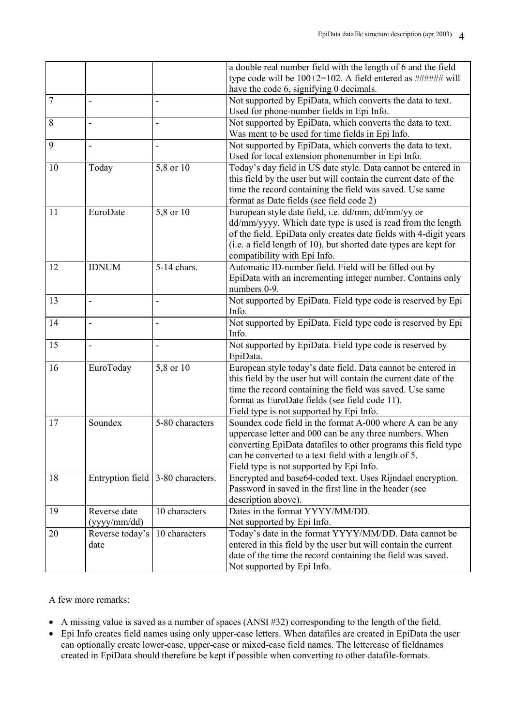|        |                 |                                   | a double real number field with the length of 6 and the field     |
|--------|-----------------|-----------------------------------|-------------------------------------------------------------------|
|        |                 |                                   | type code will be 100+2=102. A field entered as ###### will       |
|        |                 |                                   | have the code 6, signifying 0 decimals.                           |
| $\tau$ |                 |                                   | Not supported by EpiData, which converts the data to text.        |
|        |                 |                                   | Used for phone-number fields in Epi Info.                         |
| 8      |                 |                                   | Not supported by EpiData, which converts the data to text.        |
|        |                 |                                   | Was ment to be used for time fields in Epi Info.                  |
| 9      | $\overline{a}$  | $\blacksquare$                    | Not supported by EpiData, which converts the data to text.        |
|        |                 |                                   | Used for local extension phonenumber in Epi Info.                 |
| 10     | Today           | 5,8 or $\overline{10}$            | Today's day field in US date style. Data cannot be entered in     |
|        |                 |                                   | this field by the user but will contain the current date of the   |
|        |                 |                                   | time the record containing the field was saved. Use same          |
|        |                 |                                   | format as Date fields (see field code 2)                          |
| 11     | EuroDate        | 5,8 or 10                         | European style date field, i.e. dd/mm, dd/mm/yy or                |
|        |                 |                                   | dd/mm/yyyy. Which date type is used is read from the length       |
|        |                 |                                   | of the field. EpiData only creates date fields with 4-digit years |
|        |                 |                                   | (i.e. a field length of 10), but shorted date types are kept for  |
|        |                 |                                   | compatibility with Epi Info.                                      |
| 12     | <b>IDNUM</b>    | 5-14 chars.                       | Automatic ID-number field. Field will be filled out by            |
|        |                 |                                   | EpiData with an incrementing integer number. Contains only        |
|        |                 |                                   | numbers 0-9.                                                      |
| 13     | $\overline{a}$  | $\overline{\phantom{0}}$          | Not supported by EpiData. Field type code is reserved by Epi      |
|        |                 |                                   | Info.                                                             |
| 14     |                 |                                   | Not supported by EpiData. Field type code is reserved by Epi      |
|        |                 |                                   | Info.                                                             |
| 15     |                 |                                   | Not supported by EpiData. Field type code is reserved by          |
|        |                 |                                   | EpiData.                                                          |
| 16     | EuroToday       | 5,8 or 10                         | European style today's date field. Data cannot be entered in      |
|        |                 |                                   | this field by the user but will contain the current date of the   |
|        |                 |                                   | time the record containing the field was saved. Use same          |
|        |                 |                                   | format as EuroDate fields (see field code 11).                    |
|        |                 |                                   | Field type is not supported by Epi Info.                          |
| 17     | Soundex         | 5-80 characters                   | Soundex code field in the format A-000 where A can be any         |
|        |                 |                                   | uppercase letter and 000 can be any three numbers. When           |
|        |                 |                                   | converting EpiData datafiles to other programs this field type    |
|        |                 |                                   | can be converted to a text field with a length of 5.              |
|        |                 |                                   | Field type is not supported by Epi Info.                          |
| 18     |                 | Entryption field 3-80 characters. | Encrypted and base64-coded text. Uses Rijndael encryption.        |
|        |                 |                                   | Password in saved in the first line in the header (see            |
|        |                 |                                   | description above).                                               |
| 19     | Reverse date    | 10 characters                     | Dates in the format YYYY/MM/DD.                                   |
|        | (yyyy/mm/dd)    |                                   | Not supported by Epi Info.                                        |
| 20     | Reverse today's | 10 characters                     | Today's date in the format YYYY/MM/DD. Data cannot be             |
|        | date            |                                   | entered in this field by the user but will contain the current    |
|        |                 |                                   | date of the time the record containing the field was saved.       |
|        |                 |                                   | Not supported by Epi Info.                                        |

A few more remarks:

- A missing value is saved as a number of spaces (ANSI #32) corresponding to the length of the field.
- Epi Info creates field names using only upper-case letters. When datafiles are created in EpiData the user can optionally create lower-case, upper-case or mixed-case field names. The lettercase of fieldnames created in EpiData should therefore be kept if possible when converting to other datafile-formats.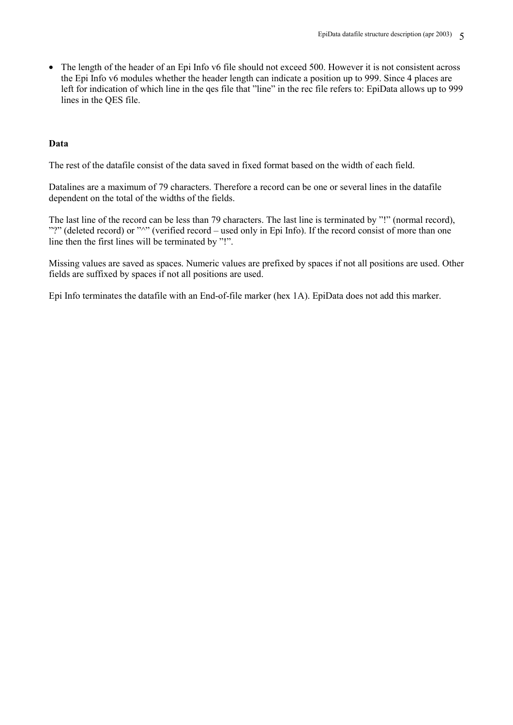• The length of the header of an Epi Info v6 file should not exceed 500. However it is not consistent across the Epi Info v6 modules whether the header length can indicate a position up to 999. Since 4 places are left for indication of which line in the qes file that "line" in the rec file refers to: EpiData allows up to 999 lines in the QES file.

# **Data**

The rest of the datafile consist of the data saved in fixed format based on the width of each field.

Datalines are a maximum of 79 characters. Therefore a record can be one or several lines in the datafile dependent on the total of the widths of the fields.

The last line of the record can be less than 79 characters. The last line is terminated by "!" (normal record), "?" (deleted record) or "^" (verified record – used only in Epi Info). If the record consist of more than one line then the first lines will be terminated by "!".

Missing values are saved as spaces. Numeric values are prefixed by spaces if not all positions are used. Other fields are suffixed by spaces if not all positions are used.

Epi Info terminates the datafile with an End-of-file marker (hex 1A). EpiData does not add this marker.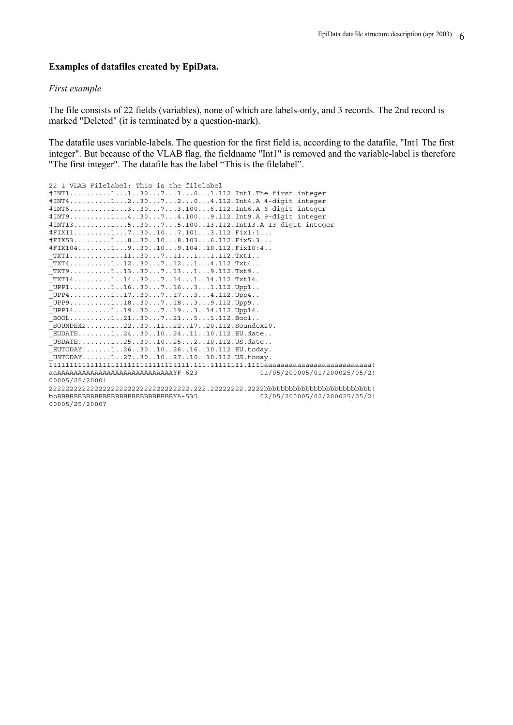#### **Examples of datafiles created by EpiData.**

# *First example*

The file consists of 22 fields (variables), none of which are labels-only, and 3 records. The 2nd record is marked "Deleted" (it is terminated by a question-mark).

The datafile uses variable-labels. The question for the first field is, according to the datafile, "Int1 The first integer". But because of the VLAB flag, the fieldname "Int1" is removed and the variable-label is therefore "The first integer". The datafile has the label "This is the filelabel".

| 22 1 VLAB Filelabel: This is the filelabel      |                              |
|-------------------------------------------------|------------------------------|
| #INT111307101.112.Int1.The first integer        |                              |
| #INT412307204.112.Int4.A 4-digit integer        |                              |
| #INT6133073.1006.112.Int6.A 6-digit integer     |                              |
| #INT9143074.1009.112.Int9.A 9-digit integer     |                              |
| #INT13153075.10013.112.Int13.A 13-digit integer |                              |
| #FIX111730107.1013.112.Fix1:1                   |                              |
| $#$ FIX531830108.1036.112.Fix5:3                |                              |
| $#$ FIX1041930109.10410.112.Fix10:4             |                              |
| $TXT1111130711111112.Txt1$                      |                              |
| $TXT4$ 1123071214.112.Txt4                      |                              |
| $_TXT9$ 1133071319.112.Txt9                     |                              |
| $TXT14$ 11430714114.112.Txt14.                  |                              |
| $UPP1$ 1163071631.112.Upp1                      |                              |
| $_UPP4$ 1173071734.112.Upp4                     |                              |
| UPP91183071839.112.Upp9                         |                              |
| $UPP14$ 11930719314.112.Upp14.                  |                              |
| $B00L$ 1213072151.112.Bool                      |                              |
| _SOUNDEX21223011221720.112.Soundex20.           |                              |
| EUDATE1243010241110.112.EU.date                 |                              |
| _USDATE125301025210.112.US.date                 |                              |
| EUTODAY1263010261610.112.EU.today.              |                              |
| USTODAY1273010271010.112.US.today.              |                              |
|                                                 |                              |
| aaAAAAAAAAAAAAAAAAAAAAAAAAAAAAYF-623            | 01/05/200005/01/200025/05/2! |
| 00005/25/2000!                                  |                              |
|                                                 |                              |
|                                                 | 02/05/200005/02/200025/05/2! |

00005/25/2000?